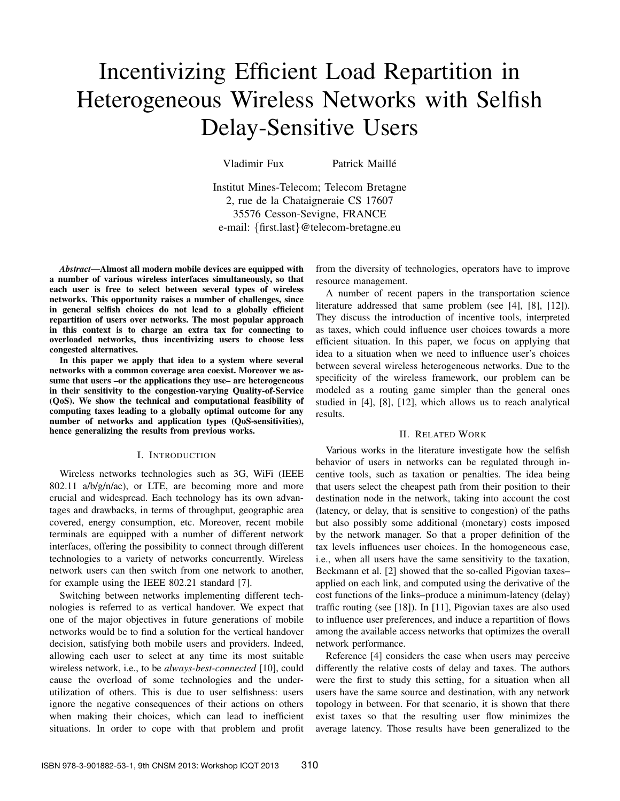# Incentivizing Efficient Load Repartition in Heterogeneous Wireless Networks with Selfish Delay-Sensitive Users

Vladimir Fux Patrick Maille´

Institut Mines-Telecom; Telecom Bretagne 2, rue de la Chataigneraie CS 17607 35576 Cesson-Sevigne, FRANCE e-mail: {first.last}@telecom-bretagne.eu

*Abstract*—Almost all modern mobile devices are equipped with a number of various wireless interfaces simultaneously, so that each user is free to select between several types of wireless networks. This opportunity raises a number of challenges, since in general selfish choices do not lead to a globally efficient repartition of users over networks. The most popular approach in this context is to charge an extra tax for connecting to overloaded networks, thus incentivizing users to choose less congested alternatives.

In this paper we apply that idea to a system where several networks with a common coverage area coexist. Moreover we assume that users –or the applications they use– are heterogeneous in their sensitivity to the congestion-varying Quality-of-Service (QoS). We show the technical and computational feasibility of computing taxes leading to a globally optimal outcome for any number of networks and application types (QoS-sensitivities), hence generalizing the results from previous works.

# I. INTRODUCTION

Wireless networks technologies such as 3G, WiFi (IEEE  $802.11$  a/b/g/n/ac), or LTE, are becoming more and more crucial and widespread. Each technology has its own advantages and drawbacks, in terms of throughput, geographic area covered, energy consumption, etc. Moreover, recent mobile terminals are equipped with a number of different network interfaces, offering the possibility to connect through different technologies to a variety of networks concurrently. Wireless network users can then switch from one network to another, for example using the IEEE 802.21 standard [7].

Switching between networks implementing different technologies is referred to as vertical handover. We expect that one of the major objectives in future generations of mobile networks would be to find a solution for the vertical handover decision, satisfying both mobile users and providers. Indeed, allowing each user to select at any time its most suitable wireless network, i.e., to be *always-best-connected* [10], could cause the overload of some technologies and the underutilization of others. This is due to user selfishness: users ignore the negative consequences of their actions on others when making their choices, which can lead to inefficient situations. In order to cope with that problem and profit

from the diversity of technologies, operators have to improve resource management.

A number of recent papers in the transportation science literature addressed that same problem (see [4], [8], [12]). They discuss the introduction of incentive tools, interpreted as taxes, which could influence user choices towards a more efficient situation. In this paper, we focus on applying that idea to a situation when we need to influence user's choices between several wireless heterogeneous networks. Due to the specificity of the wireless framework, our problem can be modeled as a routing game simpler than the general ones studied in [4], [8], [12], which allows us to reach analytical results.

# II. RELATED WORK

Various works in the literature investigate how the selfish behavior of users in networks can be regulated through incentive tools, such as taxation or penalties. The idea being that users select the cheapest path from their position to their destination node in the network, taking into account the cost (latency, or delay, that is sensitive to congestion) of the paths but also possibly some additional (monetary) costs imposed by the network manager. So that a proper definition of the tax levels influences user choices. In the homogeneous case, i.e., when all users have the same sensitivity to the taxation, Beckmann et al. [2] showed that the so-called Pigovian taxes– applied on each link, and computed using the derivative of the cost functions of the links–produce a minimum-latency (delay) traffic routing (see [18]). In [11], Pigovian taxes are also used to influence user preferences, and induce a repartition of flows among the available access networks that optimizes the overall network performance.

Reference [4] considers the case when users may perceive differently the relative costs of delay and taxes. The authors were the first to study this setting, for a situation when all users have the same source and destination, with any network topology in between. For that scenario, it is shown that there exist taxes so that the resulting user flow minimizes the average latency. Those results have been generalized to the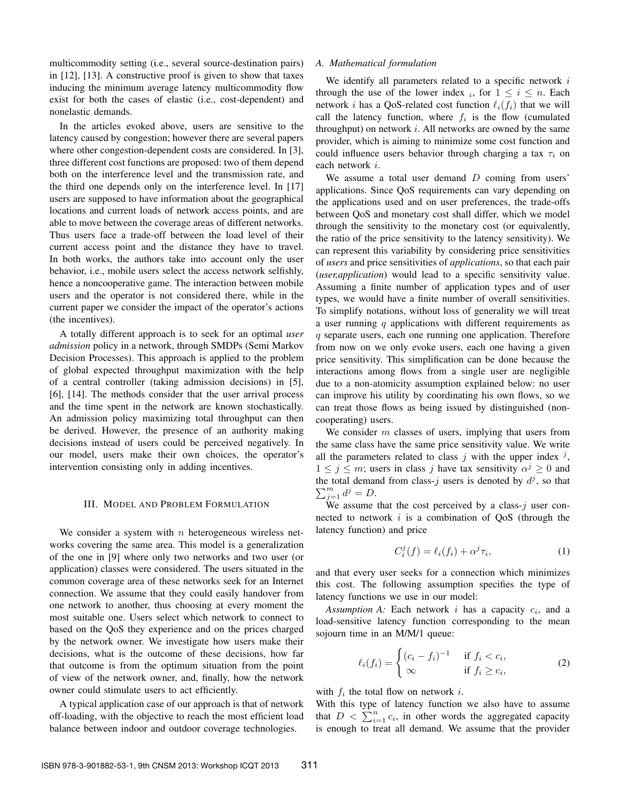multicommodity setting (i.e., several source-destination pairs) in [12], [13]. A constructive proof is given to show that taxes inducing the minimum average latency multicommodity flow exist for both the cases of elastic (i.e., cost-dependent) and nonelastic demands.

In the articles evoked above, users are sensitive to the latency caused by congestion; however there are several papers where other congestion-dependent costs are considered. In [3], three different cost functions are proposed: two of them depend both on the interference level and the transmission rate, and the third one depends only on the interference level. In [17] users are supposed to have information about the geographical locations and current loads of network access points, and are able to move between the coverage areas of different networks. Thus users face a trade-off between the load level of their current access point and the distance they have to travel. In both works, the authors take into account only the user behavior, i.e., mobile users select the access network selfishly, hence a noncooperative game. The interaction between mobile users and the operator is not considered there, while in the current paper we consider the impact of the operator's actions (the incentives).

A totally different approach is to seek for an optimal *user admission* policy in a network, through SMDPs (Semi Markov Decision Processes). This approach is applied to the problem of global expected throughput maximization with the help of a central controller (taking admission decisions) in [5], [6], [14]. The methods consider that the user arrival process and the time spent in the network are known stochastically. An admission policy maximizing total throughput can then be derived. However, the presence of an authority making decisions instead of users could be perceived negatively. In our model, users make their own choices, the operator's intervention consisting only in adding incentives.

#### III. MODEL AND PROBLEM FORMULATION

We consider a system with  $n$  heterogeneous wireless networks covering the same area. This model is a generalization of the one in [9] where only two networks and two user (or application) classes were considered. The users situated in the common coverage area of these networks seek for an Internet connection. We assume that they could easily handover from one network to another, thus choosing at every moment the most suitable one. Users select which network to connect to based on the QoS they experience and on the prices charged by the network owner. We investigate how users make their decisions, what is the outcome of these decisions, how far that outcome is from the optimum situation from the point of view of the network owner, and, finally, how the network owner could stimulate users to act efficiently.

A typical application case of our approach is that of network off-loading, with the objective to reach the most efficient load balance between indoor and outdoor coverage technologies.

#### *A. Mathematical formulation*

We identify all parameters related to a specific network  $i$ through the use of the lower index  $_i$ , for  $1 \leq i \leq n$ . Each network *i* has a QoS-related cost function  $\ell_i(f_i)$  that we will call the latency function, where  $f_i$  is the flow (cumulated throughput) on network  $i$ . All networks are owned by the same provider, which is aiming to minimize some cost function and could influence users behavior through charging a tax  $\tau_i$  on each network i.

We assume a total user demand  $D$  coming from users' applications. Since QoS requirements can vary depending on the applications used and on user preferences, the trade-offs between QoS and monetary cost shall differ, which we model through the sensitivity to the monetary cost (or equivalently, the ratio of the price sensitivity to the latency sensitivity). We can represent this variability by considering price sensitivities of *users* and price sensitivities of *applications*, so that each pair (*user,application*) would lead to a specific sensitivity value. Assuming a finite number of application types and of user types, we would have a finite number of overall sensitivities. To simplify notations, without loss of generality we will treat a user running  $q$  applications with different requirements as q separate users, each one running one application. Therefore from now on we only evoke users, each one having a given price sensitivity. This simplification can be done because the interactions among flows from a single user are negligible due to a non-atomicity assumption explained below: no user can improve his utility by coordinating his own flows, so we can treat those flows as being issued by distinguished (noncooperating) users.

We consider  $m$  classes of users, implying that users from the same class have the same price sensitivity value. We write all the parameters related to class j with the upper index  $j$ ,  $1 \leq j \leq m$ ; users in class j have tax sensitivity  $\alpha^{j} \geq 0$  and the total demand from class-j users is denoted by  $d^j$ , so that  $\sum_{j=1}^m d^j = D.$ 

We assume that the cost perceived by a class- $j$  user connected to network  $i$  is a combination of QoS (through the latency function) and price

$$
C_i^j(f) = \ell_i(f_i) + \alpha^j \tau_i,\tag{1}
$$

and that every user seeks for a connection which minimizes this cost. The following assumption specifies the type of latency functions we use in our model:

Assumption A: Each network  $i$  has a capacity  $c_i$ , and a load-sensitive latency function corresponding to the mean sojourn time in an M/M/1 queue:

$$
\ell_i(f_i) = \begin{cases} (c_i - f_i)^{-1} & \text{if } f_i < c_i, \\ \infty & \text{if } f_i \ge c_i, \end{cases} \tag{2}
$$

with  $f_i$  the total flow on network i.

With this type of latency function we also have to assume that  $D < \sum_{i=1}^{n} c_i$ , in other words the aggregated capacity is enough to treat all demand. We assume that the provider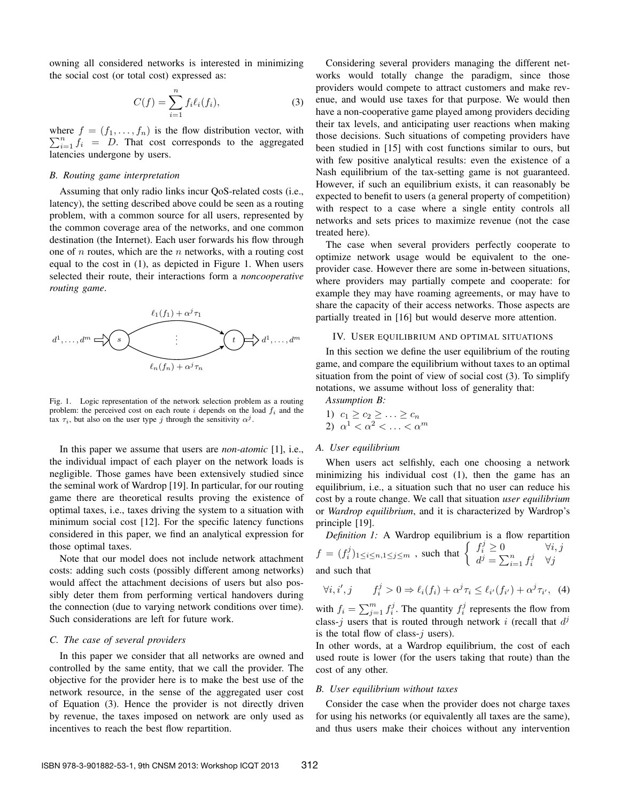owning all considered networks is interested in minimizing the social cost (or total cost) expressed as:

$$
C(f) = \sum_{i=1}^{n} f_i \ell_i(f_i),
$$
 (3)

where  $f = (f_1, \ldots, f_n)$  is the flow distribution vector, with  $\sum_{i=1}^{n} f_i = D$ . That cost corresponds to the aggregated latencies undergone by users.

#### *B. Routing game interpretation*

Assuming that only radio links incur QoS-related costs (i.e., latency), the setting described above could be seen as a routing problem, with a common source for all users, represented by the common coverage area of the networks, and one common destination (the Internet). Each user forwards his flow through one of n routes, which are the n networks, with a routing cost equal to the cost in (1), as depicted in Figure 1. When users selected their route, their interactions form a *noncooperative routing game*.



Fig. 1. Logic representation of the network selection problem as a routing problem: the perceived cost on each route  $i$  depends on the load  $f_i$  and the tax  $\tau_i$ , but also on the user type j through the sensitivity  $\alpha^j$ .

In this paper we assume that users are *non-atomic* [1], i.e., the individual impact of each player on the network loads is negligible. Those games have been extensively studied since the seminal work of Wardrop [19]. In particular, for our routing game there are theoretical results proving the existence of optimal taxes, i.e., taxes driving the system to a situation with minimum social cost [12]. For the specific latency functions considered in this paper, we find an analytical expression for those optimal taxes.

Note that our model does not include network attachment costs: adding such costs (possibly different among networks) would affect the attachment decisions of users but also possibly deter them from performing vertical handovers during the connection (due to varying network conditions over time). Such considerations are left for future work.

### *C. The case of several providers*

In this paper we consider that all networks are owned and controlled by the same entity, that we call the provider. The objective for the provider here is to make the best use of the network resource, in the sense of the aggregated user cost of Equation (3). Hence the provider is not directly driven by revenue, the taxes imposed on network are only used as incentives to reach the best flow repartition.

Considering several providers managing the different networks would totally change the paradigm, since those providers would compete to attract customers and make revenue, and would use taxes for that purpose. We would then have a non-cooperative game played among providers deciding their tax levels, and anticipating user reactions when making those decisions. Such situations of competing providers have been studied in [15] with cost functions similar to ours, but with few positive analytical results: even the existence of a Nash equilibrium of the tax-setting game is not guaranteed. However, if such an equilibrium exists, it can reasonably be expected to benefit to users (a general property of competition) with respect to a case where a single entity controls all networks and sets prices to maximize revenue (not the case treated here).

The case when several providers perfectly cooperate to optimize network usage would be equivalent to the oneprovider case. However there are some in-between situations, where providers may partially compete and cooperate: for example they may have roaming agreements, or may have to share the capacity of their access networks. Those aspects are partially treated in [16] but would deserve more attention.

# IV. USER EQUILIBRIUM AND OPTIMAL SITUATIONS

In this section we define the user equilibrium of the routing game, and compare the equilibrium without taxes to an optimal situation from the point of view of social cost (3). To simplify notations, we assume without loss of generality that: *Assumption B:*

1) 
$$
c_1 \geq c_2 \geq \ldots \geq c_n
$$
  
2) 
$$
\alpha^1 < \alpha^2 < \ldots < \alpha^m
$$

#### *A. User equilibrium*

When users act selfishly, each one choosing a network minimizing his individual cost (1), then the game has an equilibrium, i.e., a situation such that no user can reduce his cost by a route change. We call that situation *user equilibrium* or *Wardrop equilibrium*, and it is characterized by Wardrop's principle [19].

*Definition 1:* A Wardrop equilibrium is a flow repartition  $f = (f_i^j)_{1 \le i \le n, 1 \le j \le m}$ , such that  $\begin{cases} f_i^j \ge 0 & \forall i, j \ f_i^j = \sum_{j=1}^n f_j^j & \forall i, j \end{cases}$  $d^j = \sum_{i=1}^n f_i^j \quad \forall j$ and such that

$$
\forall i, i', j \qquad f_i^j > 0 \Rightarrow \ell_i(f_i) + \alpha^j \tau_i \le \ell_{i'}(f_{i'}) + \alpha^j \tau_{i'}, \tag{4}
$$

with  $f_i = \sum_{j=1}^m f_i^j$ . The quantity  $f_i^j$  represents the flow from class-j users that is routed through network i (recall that  $d^j$ is the total flow of class- $j$  users).

In other words, at a Wardrop equilibrium, the cost of each used route is lower (for the users taking that route) than the cost of any other.

# *B. User equilibrium without taxes*

Consider the case when the provider does not charge taxes for using his networks (or equivalently all taxes are the same), and thus users make their choices without any intervention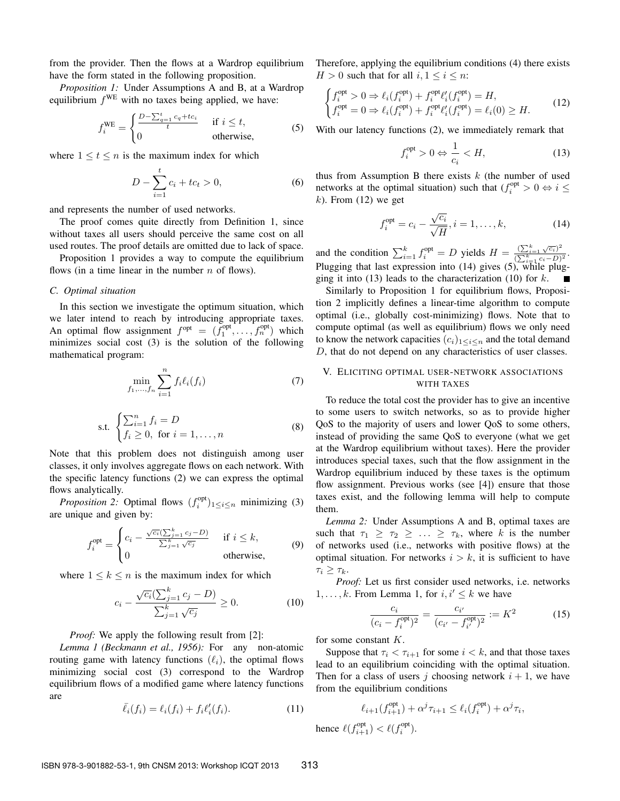from the provider. Then the flows at a Wardrop equilibrium have the form stated in the following proposition.

*Proposition 1:* Under Assumptions A and B, at a Wardrop equilibrium  $f^{WE}$  with no taxes being applied, we have:

$$
f_i^{\text{WE}} = \begin{cases} \frac{D - \sum_{q=1}^t c_q + t c_i}{t} & \text{if } i \le t, \\ 0 & \text{otherwise,} \end{cases}
$$
 (5)

where  $1 \le t \le n$  is the maximum index for which

$$
D - \sum_{i=1}^{t} c_i + tc_t > 0,
$$
\n(6)

and represents the number of used networks.

The proof comes quite directly from Definition 1, since without taxes all users should perceive the same cost on all used routes. The proof details are omitted due to lack of space.

Proposition 1 provides a way to compute the equilibrium flows (in a time linear in the number  $n$  of flows).

# *C. Optimal situation*

In this section we investigate the optimum situation, which we later intend to reach by introducing appropriate taxes. An optimal flow assignment  $f^{\text{opt}} = (\tilde{f}_1^{\text{opt}}, \dots, \tilde{f}_n^{\text{opt}})$  which minimizes social cost (3) is the solution of the following mathematical program:

$$
\min_{f_1, ..., f_n} \sum_{i=1}^n f_i \ell_i(f_i)
$$
\n(7)

$$
\text{s.t. } \begin{cases} \sum_{i=1}^{n} f_i = D \\ f_i \ge 0, \text{ for } i = 1, \dots, n \end{cases} \tag{8}
$$

Note that this problem does not distinguish among user classes, it only involves aggregate flows on each network. With the specific latency functions (2) we can express the optimal flows analytically.

*Proposition 2:* Optimal flows  $(f_i^{\text{opt}})_{1 \le i \le n}$  minimizing (3) are unique and given by:

$$
f_i^{\text{opt}} = \begin{cases} c_i - \frac{\sqrt{c_i} (\sum_{j=1}^k c_j - D)}{\sum_{j=1}^k \sqrt{c_j}} & \text{if } i \leq k, \\ 0 & \text{otherwise,} \end{cases}
$$
(9)

where  $1 \leq k \leq n$  is the maximum index for which

$$
c_i - \frac{\sqrt{c_i}(\sum_{j=1}^k c_j - D)}{\sum_{j=1}^k \sqrt{c_j}} \ge 0.
$$
 (10)

# *Proof:* We apply the following result from [2]:

*Lemma 1 (Beckmann et al., 1956):* For any non-atomic routing game with latency functions  $(\ell_i)$ , the optimal flows minimizing social cost (3) correspond to the Wardrop equilibrium flows of a modified game where latency functions are

$$
\bar{\ell}_i(f_i) = \ell_i(f_i) + f_i \ell'_i(f_i). \tag{11}
$$

Therefore, applying the equilibrium conditions (4) there exists  $H > 0$  such that for all  $i, 1 \le i \le n$ :

$$
\begin{cases}\nf_i^{\text{opt}} > 0 \Rightarrow \ell_i(f_i^{\text{opt}}) + f_i^{\text{opt}} \ell'_i(f_i^{\text{opt}}) = H, \\
f_i^{\text{opt}} = 0 \Rightarrow \ell_i(f_i^{\text{opt}}) + f_i^{\text{opt}} \ell'_i(f_i^{\text{opt}}) = \ell_i(0) \ge H.\n\end{cases}
$$
\n(12)

With our latency functions (2), we immediately remark that

$$
f_i^{\text{opt}} > 0 \Leftrightarrow \frac{1}{c_i} < H,\tag{13}
$$

thus from Assumption B there exists  $k$  (the number of used networks at the optimal situation) such that  $(f_i^{\text{opt}} > 0 \Leftrightarrow i \leq$  $k$ ). From (12) we get

$$
f_i^{\text{opt}} = c_i - \frac{\sqrt{c_i}}{\sqrt{H}}, i = 1, \dots, k,
$$
 (14)

and the condition  $\sum_{i=1}^{k} f_i^{\text{opt}} = D$  yields  $H = \frac{(\sum_{i=1}^{k} \sqrt{c_i})^2}{(\sum_{i=1}^{k} c_i - D)}$  $\frac{(\sum_{i=1}^{k} \sqrt{c_i})}{(\sum_{i=1}^{k} c_i - D)^2}.$ Plugging that last expression into (14) gives (5), while plugging it into (13) leads to the characterization (10) for  $k$ .

Similarly to Proposition 1 for equilibrium flows, Proposition 2 implicitly defines a linear-time algorithm to compute optimal (i.e., globally cost-minimizing) flows. Note that to compute optimal (as well as equilibrium) flows we only need to know the network capacities  $(c_i)_{1 \leq i \leq n}$  and the total demand D, that do not depend on any characteristics of user classes.

# V. ELICITING OPTIMAL USER-NETWORK ASSOCIATIONS WITH TAXES

To reduce the total cost the provider has to give an incentive to some users to switch networks, so as to provide higher QoS to the majority of users and lower QoS to some others, instead of providing the same QoS to everyone (what we get at the Wardrop equilibrium without taxes). Here the provider introduces special taxes, such that the flow assignment in the Wardrop equilibrium induced by these taxes is the optimum flow assignment. Previous works (see [4]) ensure that those taxes exist, and the following lemma will help to compute them.

*Lemma 2:* Under Assumptions A and B, optimal taxes are such that  $\tau_1 \geq \tau_2 \geq \ldots \geq \tau_k$ , where k is the number of networks used (i.e., networks with positive flows) at the optimal situation. For networks  $i > k$ , it is sufficient to have  $\tau_i \geq \tau_k$ .

*Proof:* Let us first consider used networks, i.e. networks  $1, \ldots, k$ . From Lemma 1, for  $i, i' \leq k$  we have

$$
\frac{c_i}{(c_i - f_i^{\text{opt}})^2} = \frac{c_{i'}}{(c_{i'} - f_{i'}^{\text{opt}})^2} := K^2
$$
 (15)

for some constant K.

Suppose that  $\tau_i < \tau_{i+1}$  for some  $i < k$ , and that those taxes lead to an equilibrium coinciding with the optimal situation. Then for a class of users j choosing network  $i + 1$ , we have from the equilibrium conditions

$$
\ell_{i+1}(f^{\text{opt}}_{i+1})+\alpha^j\tau_{i+1}\leq \ell_i(f^{\text{opt}}_i)+\alpha^j\tau_i,
$$
 hence  $\ell(f^{\text{opt}}_{i+1})<\ell(f^{\text{opt}}_i).$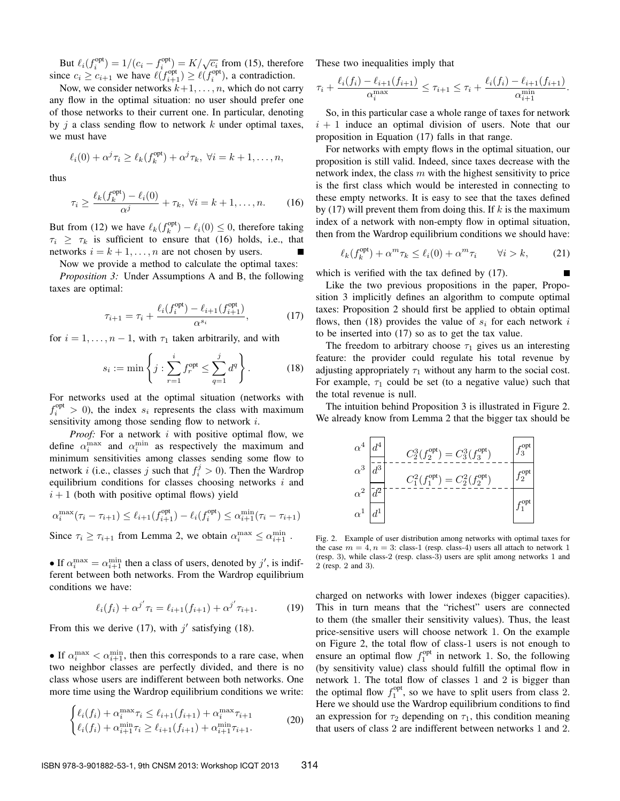But  $\ell_i(f_i^{\text{opt}}) = 1/(c_i - f_i^{\text{opt}}) = K/\sqrt{c_i}$  from (15), therefore since  $c_i \geq c_{i+1}$  we have  $\ell(f_{i+1}^{\text{opt}}) \geq \ell(f_i^{\text{opt}})$ , a contradiction.

Now, we consider networks  $k+1, \ldots, n$ , which do not carry any flow in the optimal situation: no user should prefer one of those networks to their current one. In particular, denoting by  $i$  a class sending flow to network k under optimal taxes, we must have

$$
\ell_i(0) + \alpha^j \tau_i \ge \ell_k(f_k^{\text{opt}}) + \alpha^j \tau_k, \ \forall i = k+1, \dots, n,
$$

thus

$$
\tau_i \ge \frac{\ell_k(f_k^{\text{opt}}) - \ell_i(0)}{\alpha^j} + \tau_k, \ \forall i = k+1, \dots, n. \tag{16}
$$

But from (12) we have  $\ell_k(f_k^{\text{opt}}) - \ell_i(0) \leq 0$ , therefore taking  $\tau_i \geq \tau_k$  is sufficient to ensure that (16) holds, i.e., that networks  $i = k + 1, \ldots, n$  are not chosen by users. Now we provide a method to calculate the optimal taxes:

*Proposition 3:* Under Assumptions A and B, the following taxes are optimal:

$$
\tau_{i+1} = \tau_i + \frac{\ell_i(f_i^{\text{opt}}) - \ell_{i+1}(f_{i+1}^{\text{opt}})}{\alpha^{s_i}},\tag{17}
$$

for  $i = 1, \ldots, n - 1$ , with  $\tau_1$  taken arbitrarily, and with

$$
s_i := \min\left\{ j : \sum_{r=1}^i f_r^{\text{opt}} \le \sum_{q=1}^j d^q \right\}.
$$
 (18)

For networks used at the optimal situation (networks with  $f_i^{\text{opt}} > 0$ ), the index  $s_i$  represents the class with maximum sensitivity among those sending flow to network *i*.

*Proof:* For a network i with positive optimal flow, we define  $\alpha_i^{\text{max}}$  and  $\alpha_i^{\text{min}}$  as respectively the maximum and minimum sensitivities among classes sending some flow to network *i* (i.e., classes *j* such that  $f_i^j > 0$ ). Then the Wardrop equilibrium conditions for classes choosing networks  $i$  and  $i + 1$  (both with positive optimal flows) yield

$$
\alpha_i^{\max}(\tau_i - \tau_{i+1}) \le \ell_{i+1}(f_{i+1}^{\text{opt}}) - \ell_i(f_i^{\text{opt}}) \le \alpha_{i+1}^{\min}(\tau_i - \tau_{i+1})
$$

Since  $\tau_i \ge \tau_{i+1}$  from Lemma 2, we obtain  $\alpha_i^{\max} \le \alpha_{i+1}^{\min}$ .

• If  $\alpha_i^{\max} = \alpha_{i+1}^{\min}$  then a class of users, denoted by  $j'$ , is indifferent between both networks. From the Wardrop equilibrium conditions we have:

$$
\ell_i(f_i) + \alpha^{j'} \tau_i = \ell_{i+1}(f_{i+1}) + \alpha^{j'} \tau_{i+1}.
$$
 (19)

From this we derive (17), with  $j'$  satisfying (18).

• If  $\alpha_i^{\max} < \alpha_{i+1}^{\min}$ , then this corresponds to a rare case, when two neighbor classes are perfectly divided, and there is no class whose users are indifferent between both networks. One more time using the Wardrop equilibrium conditions we write:

$$
\begin{cases} \ell_i(f_i) + \alpha_i^{\max} \tau_i \le \ell_{i+1}(f_{i+1}) + \alpha_i^{\max} \tau_{i+1} \\ \ell_i(f_i) + \alpha_{i+1}^{\min} \tau_i \ge \ell_{i+1}(f_{i+1}) + \alpha_{i+1}^{\min} \tau_{i+1}. \end{cases} \tag{20}
$$

These two inequalities imply that

$$
\tau_i + \frac{\ell_i(f_i) - \ell_{i+1}(f_{i+1})}{\alpha_i^{\max}} \leq \tau_{i+1} \leq \tau_i + \frac{\ell_i(f_i) - \ell_{i+1}(f_{i+1})}{\alpha_{i+1}^{\min}}.
$$

So, in this particular case a whole range of taxes for network  $i + 1$  induce an optimal division of users. Note that our proposition in Equation (17) falls in that range.

For networks with empty flows in the optimal situation, our proposition is still valid. Indeed, since taxes decrease with the network index, the class  $m$  with the highest sensitivity to price is the first class which would be interested in connecting to these empty networks. It is easy to see that the taxes defined by (17) will prevent them from doing this. If  $k$  is the maximum index of a network with non-empty flow in optimal situation, then from the Wardrop equilibrium conditions we should have:

$$
\ell_k(f_k^{\text{opt}}) + \alpha^m \tau_k \le \ell_i(0) + \alpha^m \tau_i \qquad \forall i > k,
$$
 (21)

which is verified with the tax defined by (17).

Like the two previous propositions in the paper, Proposition 3 implicitly defines an algorithm to compute optimal taxes: Proposition 2 should first be applied to obtain optimal flows, then (18) provides the value of  $s_i$  for each network i to be inserted into (17) so as to get the tax value.

The freedom to arbitrary choose  $\tau_1$  gives us an interesting feature: the provider could regulate his total revenue by adjusting appropriately  $\tau_1$  without any harm to the social cost. For example,  $\tau_1$  could be set (to a negative value) such that the total revenue is null.

The intuition behind Proposition 3 is illustrated in Figure 2. We already know from Lemma 2 that the bigger tax should be



Fig. 2. Example of user distribution among networks with optimal taxes for the case  $m = 4, n = 3$ : class-1 (resp. class-4) users all attach to network 1 (resp. 3), while class-2 (resp. class-3) users are split among networks 1 and 2 (resp. 2 and 3).

charged on networks with lower indexes (bigger capacities). This in turn means that the "richest" users are connected to them (the smaller their sensitivity values). Thus, the least price-sensitive users will choose network 1. On the example on Figure 2, the total flow of class-1 users is not enough to ensure an optimal flow  $f_1^{\text{opt}}$  in network 1. So, the following (by sensitivity value) class should fulfill the optimal flow in network 1. The total flow of classes 1 and 2 is bigger than the optimal flow  $f_1^{\text{opt}}$ , so we have to split users from class 2. Here we should use the Wardrop equilibrium conditions to find an expression for  $\tau_2$  depending on  $\tau_1$ , this condition meaning that users of class 2 are indifferent between networks 1 and 2.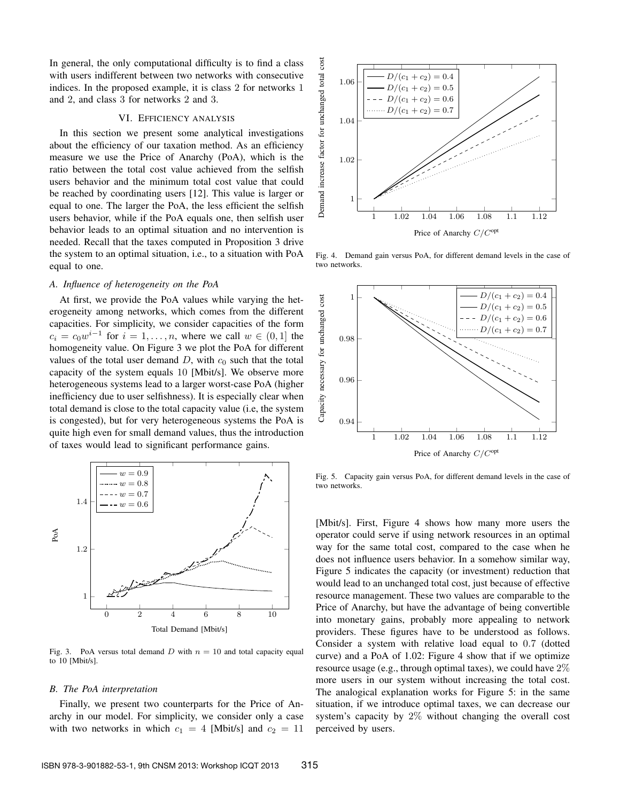In general, the only computational difficulty is to find a class with users indifferent between two networks with consecutive indices. In the proposed example, it is class 2 for networks 1 and 2, and class 3 for networks 2 and 3.

# VI. EFFICIENCY ANALYSIS

In this section we present some analytical investigations about the efficiency of our taxation method. As an efficiency measure we use the Price of Anarchy (PoA), which is the ratio between the total cost value achieved from the selfish users behavior and the minimum total cost value that could be reached by coordinating users [12]. This value is larger or equal to one. The larger the PoA, the less efficient the selfish users behavior, while if the PoA equals one, then selfish user behavior leads to an optimal situation and no intervention is needed. Recall that the taxes computed in Proposition 3 drive the system to an optimal situation, i.e., to a situation with PoA equal to one.

### *A. Influence of heterogeneity on the PoA*

At first, we provide the PoA values while varying the heterogeneity among networks, which comes from the different capacities. For simplicity, we consider capacities of the form  $c_i = c_0 w^{i-1}$  for  $i = 1, \ldots, n$ , where we call  $w \in (0, 1]$  the homogeneity value. On Figure 3 we plot the PoA for different values of the total user demand  $D$ , with  $c_0$  such that the total capacity of the system equals 10 [Mbit/s]. We observe more heterogeneous systems lead to a larger worst-case PoA (higher inefficiency due to user selfishness). It is especially clear when total demand is close to the total capacity value (i.e, the system is congested), but for very heterogeneous systems the PoA is quite high even for small demand values, thus the introduction of taxes would lead to significant performance gains.



Fig. 3. PoA versus total demand  $D$  with  $n = 10$  and total capacity equal to 10 [Mbit/s].

# *B. The PoA interpretation*

Finally, we present two counterparts for the Price of Anarchy in our model. For simplicity, we consider only a case with two networks in which  $c_1 = 4$  [Mbit/s] and  $c_2 = 11$ 



Fig. 4. Demand gain versus PoA, for different demand levels in the case of two networks.



Fig. 5. Capacity gain versus PoA, for different demand levels in the case of two networks.

[Mbit/s]. First, Figure 4 shows how many more users the operator could serve if using network resources in an optimal way for the same total cost, compared to the case when he does not influence users behavior. In a somehow similar way, Figure 5 indicates the capacity (or investment) reduction that would lead to an unchanged total cost, just because of effective resource management. These two values are comparable to the Price of Anarchy, but have the advantage of being convertible into monetary gains, probably more appealing to network providers. These figures have to be understood as follows. Consider a system with relative load equal to 0.7 (dotted curve) and a PoA of 1.02: Figure 4 show that if we optimize resource usage (e.g., through optimal taxes), we could have 2% more users in our system without increasing the total cost. The analogical explanation works for Figure 5: in the same situation, if we introduce optimal taxes, we can decrease our system's capacity by 2% without changing the overall cost perceived by users.